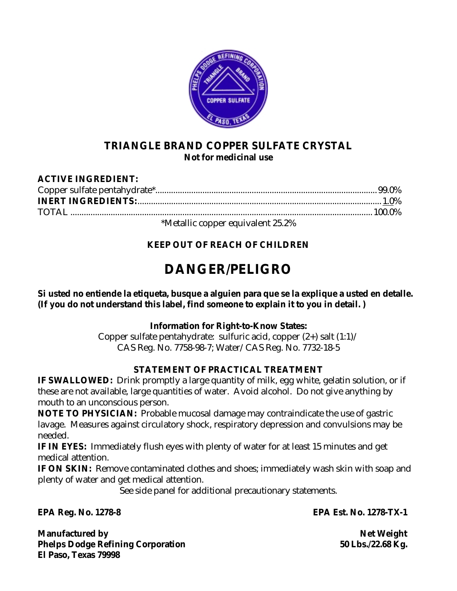

# **TRIANGLE BRAND COPPER SULFATE CRYSTAL Not for medicinal use**

#### **ACTIVE INGREDIENT:**  Copper sulfate pentahydrate\*...................................................................................................99.0% **INERT INGREDIENTS:**.............................................................................................................1.0% TOTAL .......................................................................................................................................100.0% \*Metallic copper equivalent 25.2%

# **KEEP OUT OF REACH OF CHILDREN**

# **DANGER/PELIGRO**

**Si usted no entiende la etiqueta, busque a alguien para que se la explique a usted en detalle. (If you do not understand this label, find someone to explain it to you in detail. )** 

# **Information for Right-to-Know States:**

Copper sulfate pentahydrate: sulfuric acid, copper  $(2+)$  salt  $(1:1)$ CAS Reg. No. 7758-98-7; Water/CAS Reg. No. 7732-18-5

# **STATEMENT OF PRACTICAL TREATMENT**

**IF SWALLOWED:** Drink promptly a large quantity of milk, egg white, gelatin solution, or if these are not available, large quantities of water. Avoid alcohol. Do not give anything by mouth to an unconscious person.

**NOTE TO PHYSICIAN:** Probable mucosal damage may contraindicate the use of gastric lavage. Measures against circulatory shock, respiratory depression and convulsions may be needed.

**IF IN EYES:** Immediately flush eyes with plenty of water for at least 15 minutes and get medical attention.

**IF ON SKIN:** Remove contaminated clothes and shoes; immediately wash skin with soap and plenty of water and get medical attention.

See side panel for additional precautionary statements.

**Manufactured by Net Weight**   $\blacksquare$ Phelps Dodge Refining Corporation 50 Lbs./22.68 Kg. **El Paso, Texas 79998** 

**EPA Reg. No. 1278-8 EPA Est. No. 1278-TX-1**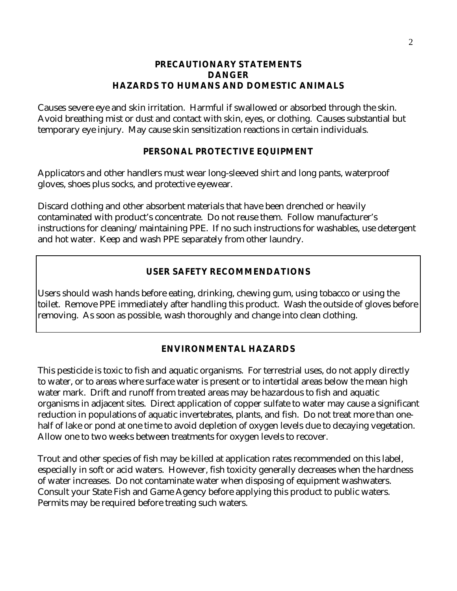#### **PRECAUTIONARY STATEMENTS DANGER HAZARDS TO HUMANS AND DOMESTIC ANIMALS**

Causes severe eye and skin irritation. Harmful if swallowed or absorbed through the skin. Avoid breathing mist or dust and contact with skin, eyes, or clothing. Causes substantial but temporary eye injury. May cause skin sensitization reactions in certain individuals.

### **PERSONAL PROTECTIVE EQUIPMENT**

Applicators and other handlers must wear long-sleeved shirt and long pants, waterproof gloves, shoes plus socks, and protective eyewear.

Discard clothing and other absorbent materials that have been drenched or heavily contaminated with product's concentrate. Do not reuse them. Follow manufacturer's instructions for cleaning/maintaining PPE. If no such instructions for washables, use detergent and hot water. Keep and wash PPE separately from other laundry.

# **USER SAFETY RECOMMENDATIONS**

Users should wash hands before eating, drinking, chewing gum, using tobacco or using the toilet. Remove PPE immediately after handling this product. Wash the outside of gloves before removing. As soon as possible, wash thoroughly and change into clean clothing.

### **ENVIRONMENTAL HAZARDS**

This pesticide is toxic to fish and aquatic organisms. For terrestrial uses, do not apply directly to water, or to areas where surface water is present or to intertidal areas below the mean high water mark. Drift and runoff from treated areas may be hazardous to fish and aquatic organisms in adjacent sites. Direct application of copper sulfate to water may cause a significant reduction in populations of aquatic invertebrates, plants, and fish. Do not treat more than onehalf of lake or pond at one time to avoid depletion of oxygen levels due to decaying vegetation. Allow one to two weeks between treatments for oxygen levels to recover.

Trout and other species of fish may be killed at application rates recommended on this label, especially in soft or acid waters. However, fish toxicity generally decreases when the hardness of water increases. Do not contaminate water when disposing of equipment washwaters. Consult your State Fish and Game Agency before applying this product to public waters. Permits may be required before treating such waters.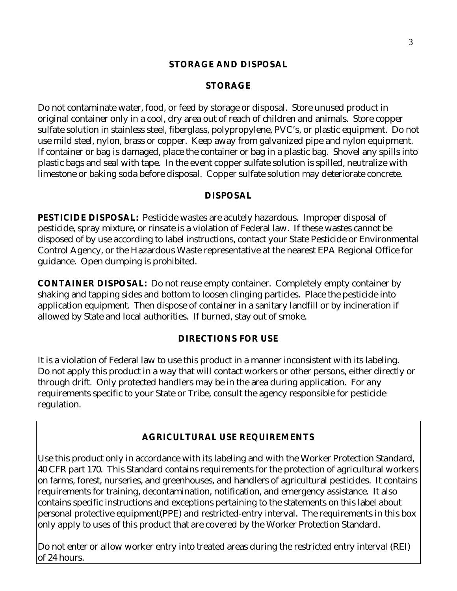#### **STORAGE AND DISPOSAL**

#### **STORAGE**

Do not contaminate water, food, or feed by storage or disposal. Store unused product in original container only in a cool, dry area out of reach of children and animals. Store copper sulfate solution in stainless steel, fiberglass, polypropylene, PVC's, or plastic equipment. Do not use mild steel, nylon, brass or copper. Keep away from galvanized pipe and nylon equipment. If container or bag is damaged, place the container or bag in a plastic bag. Shovel any spills into plastic bags and seal with tape. In the event copper sulfate solution is spilled, neutralize with limestone or baking soda before disposal. Copper sulfate solution may deteriorate concrete.

#### **DISPOSAL**

**PESTICIDE DISPOSAL:** Pesticide wastes are acutely hazardous. Improper disposal of pesticide, spray mixture, or rinsate is a violation of Federal law. If these wastes cannot be disposed of by use according to label instructions, contact your State Pesticide or Environmental Control Agency, or the Hazardous Waste representative at the nearest EPA Regional Office for guidance. Open dumping is prohibited.

**CONTAINER DISPOSAL:** Do not reuse empty container. Completely empty container by shaking and tapping sides and bottom to loosen clinging particles. Place the pesticide into application equipment. Then dispose of container in a sanitary landfill or by incineration if allowed by State and local authorities. If burned, stay out of smoke.

#### **DIRECTIONS FOR USE**

It is a violation of Federal law to use this product in a manner inconsistent with its labeling. Do not apply this product in a way that will contact workers or other persons, either directly or through drift. Only protected handlers may be in the area during application. For any requirements specific to your State or Tribe, consult the agency responsible for pesticide regulation.

### **AGRICULTURAL USE REQUIREMENTS**

Use this product only in accordance with its labeling and with the Worker Protection Standard, 40 CFR part 170. This Standard contains requirements for the protection of agricultural workers on farms, forest, nurseries, and greenhouses, and handlers of agricultural pesticides. It contains requirements for training, decontamination, notification, and emergency assistance. It also contains specific instructions and exceptions pertaining to the statements on this label about personal protective equipment(PPE) and restricted-entry interval. The requirements in this box only apply to uses of this product that are covered by the Worker Protection Standard.

Do not enter or allow worker entry into treated areas during the restricted entry interval (REI) of 24 hours.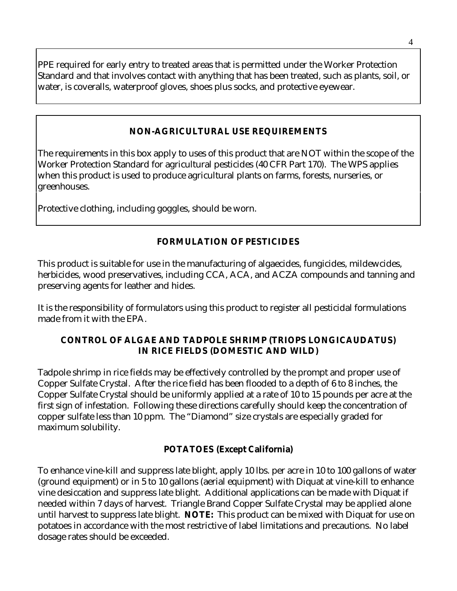PPE required for early entry to treated areas that is permitted under the Worker Protection Standard and that involves contact with anything that has been treated, such as plants, soil, or water, is coveralls, waterproof gloves, shoes plus socks, and protective eyewear.

### **NON-AGRICULTURAL USE REQUIREMENTS**

The requirements in this box apply to uses of this product that are NOT within the scope of the Worker Protection Standard for agricultural pesticides (40 CFR Part 170). The WPS applies when this product is used to produce agricultural plants on farms, forests, nurseries, or greenhouses.

Protective clothing, including goggles, should be worn.

# **FORMULATION OF PESTICIDES**

This product is suitable for use in the manufacturing of algaecides, fungicides, mildewcides, herbicides, wood preservatives, including CCA, ACA, and ACZA compounds and tanning and preserving agents for leather and hides.

It is the responsibility of formulators using this product to register all pesticidal formulations made from it with the EPA.

#### **CONTROL OF ALGAE AND TADPOLE SHRIMP (TRIOPS LONGICAUDATUS) IN RICE FIELDS (DOMESTIC AND WILD)**

Tadpole shrimp in rice fields may be effectively controlled by the prompt and proper use of Copper Sulfate Crystal. After the rice field has been flooded to a depth of 6 to 8 inches, the Copper Sulfate Crystal should be uniformly applied at a rate of 10 to 15 pounds per acre at the first sign of infestation. Following these directions carefully should keep the concentration of copper sulfate less than 10 ppm. The "Diamond" size crystals are especially graded for maximum solubility.

### **POTATOES (Except California)**

To enhance vine-kill and suppress late blight, apply 10 lbs. per acre in 10 to 100 gallons of water (ground equipment) or in 5 to 10 gallons (aerial equipment) with Diquat at vine-kill to enhance vine desiccation and suppress late blight. Additional applications can be made with Diquat if needed within 7 days of harvest. Triangle Brand Copper Sulfate Crystal may be applied alone until harvest to suppress late blight. **NOTE:** This product can be mixed with Diquat for use on potatoes in accordance with the most restrictive of label limitations and precautions. No label dosage rates should be exceeded.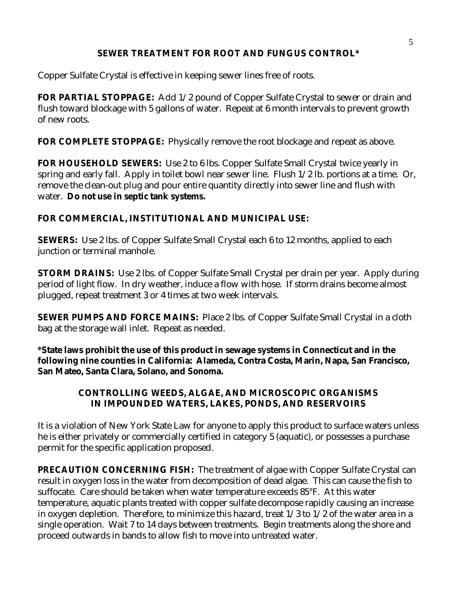### **SEWER TREATMENT FOR ROOT AND FUNGUS CONTROL\***

Copper Sulfate Crystal is effective in keeping sewer lines free of roots.

**FOR PARTIAL STOPPAGE:** Add 1/2 pound of Copper Sulfate Crystal to sewer or drain and flush toward blockage with 5 gallons of water. Repeat at 6 month intervals to prevent growth of new roots.

**FOR COMPLETE STOPPAGE:** Physically remove the root blockage and repeat as above.

**FOR HOUSEHOLD SEWERS:** Use 2 to 6 lbs. Copper Sulfate Small Crystal twice yearly in spring and early fall. Apply in toilet bowl near sewer line. Flush 1/2 lb. portions at a time. Or, remove the clean-out plug and pour entire quantity directly into sewer line and flush with water. **Do not use in septic tank systems.**

# **FOR COMMERCIAL, INSTITUTIONAL AND MUNICIPAL USE:**

**SEWERS:** Use 2 lbs. of Copper Sulfate Small Crystal each 6 to 12 months, applied to each junction or terminal manhole.

**STORM DRAINS:** Use 2 lbs. of Copper Sulfate Small Crystal per drain per year. Apply during period of light flow. In dry weather, induce a flow with hose. If storm drains become almost plugged, repeat treatment 3 or 4 times at two week intervals.

**SEWER PUMPS AND FORCE MAINS:** Place 2 lbs. of Copper Sulfate Small Crystal in a cloth bag at the storage wall inlet. Repeat as needed.

**\*State laws prohibit the use of this product in sewage systems in Connecticut and in the following nine counties in California: Alameda, Contra Costa, Marin, Napa, San Francisco, San Mateo, Santa Clara, Solano, and Sonoma.** 

# **CONTROLLING WEEDS, ALGAE, AND MICROSCOPIC ORGANISMS IN IMPOUNDED WATERS, LAKES, PONDS, AND RESERVOIRS**

It is a violation of New York State Law for anyone to apply this product to surface waters unless he is either privately or commercially certified in category 5 (aquatic), or possesses a purchase permit for the specific application proposed.

**PRECAUTION CONCERNING FISH:** The treatment of algae with Copper Sulfate Crystal can result in oxygen loss in the water from decomposition of dead algae. This can cause the fish to suffocate. Care should be taken when water temperature exceeds 85°F. At this water temperature, aquatic plants treated with copper sulfate decompose rapidly causing an increase in oxygen depletion. Therefore, to minimize this hazard, treat 1/3 to 1/2 of the water area in a single operation. Wait 7 to 14 days between treatments. Begin treatments along the shore and proceed outwards in bands to allow fish to move into untreated water.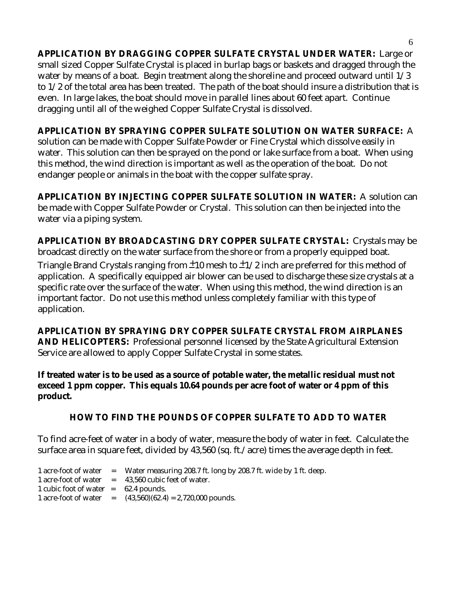**APPLICATION BY DRAGGING COPPER SULFATE CRYSTAL UNDER WATER:** Large or small sized Copper Sulfate Crystal is placed in burlap bags or baskets and dragged through the water by means of a boat. Begin treatment along the shoreline and proceed outward until 1/3 to 1/2 of the total area has been treated. The path of the boat should insure a distribution that is even. In large lakes, the boat should move in parallel lines about 60 feet apart. Continue dragging until all of the weighed Copper Sulfate Crystal is dissolved.

# **APPLICATION BY SPRAYING COPPER SULFATE SOLUTION ON WATER SURFACE:** A

solution can be made with Copper Sulfate Powder or Fine Crystal which dissolve easily in water. This solution can then be sprayed on the pond or lake surface from a boat. When using this method, the wind direction is important as well as the operation of the boat. Do not endanger people or animals in the boat with the copper sulfate spray.

**APPLICATION BY INJECTING COPPER SULFATE SOLUTION IN WATER:** A solution can be made with Copper Sulfate Powder or Crystal. This solution can then be injected into the water via a piping system.

**APPLICATION BY BROADCASTING DRY COPPER SULFATE CRYSTAL:** Crystals may be broadcast directly on the water surface from the shore or from a properly equipped boat.

Triangle Brand Crystals ranging from  $\pm 10$  mesh to  $\pm 1/2$  inch are preferred for this method of application. A specifically equipped air blower can be used to discharge these size crystals at a specific rate over the surface of the water. When using this method, the wind direction is an important factor. Do not use this method unless completely familiar with this type of application.

**APPLICATION BY SPRAYING DRY COPPER SULFATE CRYSTAL FROM AIRPLANES AND HELICOPTERS:** Professional personnel licensed by the State Agricultural Extension Service are allowed to apply Copper Sulfate Crystal in some states.

**If treated water is to be used as a source of potable water, the metallic residual must not exceed 1 ppm copper. This equals 10.64 pounds per acre foot of water or 4 ppm of this product.** 

# **HOW TO FIND THE POUNDS OF COPPER SULFATE TO ADD TO WATER**

To find acre-feet of water in a body of water, measure the body of water in feet. Calculate the surface area in square feet, divided by 43,560 (sq. ft./acre) times the average depth in feet.

|                                        | 1 acre-foot of water = Water measuring 208.7 ft. long by 208.7 ft. wide by 1 ft. deep. |
|----------------------------------------|----------------------------------------------------------------------------------------|
|                                        | 1 acre-foot of water $=$ 43,560 cubic feet of water.                                   |
| 1 cubic foot of water $=$ 62.4 pounds. |                                                                                        |
|                                        | 1 acre-foot of water $=$ $(43,560)(62.4) = 2,720,000$ pounds.                          |
|                                        |                                                                                        |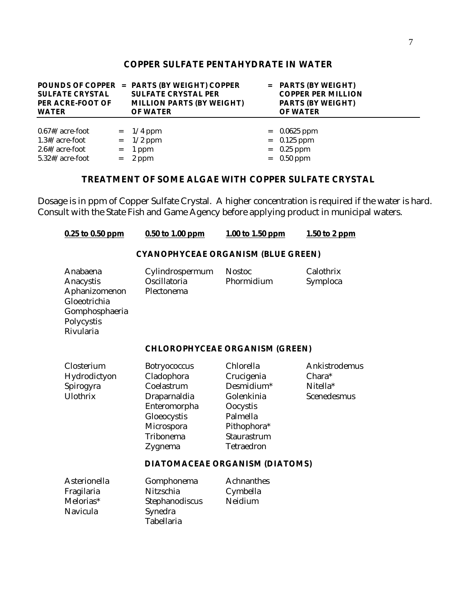#### **COPPER SULFATE PENTAHYDRATE IN WATER**

| <b>SULFATE CRYSTAL</b><br>PER ACRE-FOOT OF<br><b>WATER</b>                      | POUNDS OF COPPER = PARTS (BY WEIGHT) COPPER<br><b>SULFATE CRYSTAL PER</b><br><b>MILLION PARTS (BY WEIGHT)</b><br><b>OF WATER</b> | $=$ PARTS (BY WEIGHT)<br><b>COPPER PER MILLION</b><br><b>PARTS (BY WEIGHT)</b><br><b>OF WATER</b> |
|---------------------------------------------------------------------------------|----------------------------------------------------------------------------------------------------------------------------------|---------------------------------------------------------------------------------------------------|
| $0.67$ #/acre-foot<br>$1.3$ #/acre-foot<br>$2.6$ #/acre-foot<br>5.32#/acre-foot | $= 1/4$ ppm<br>$=$ 1/2 ppm<br>$= 1$ ppm<br>$= 2$ ppm                                                                             | $= 0.0625$ ppm<br>$= 0.125$ ppm<br>$=$ 0.25 ppm<br>$=$ 0.50 ppm                                   |

# **TREATMENT OF SOME ALGAE WITH COPPER SULFATE CRYSTAL**

Dosage is in ppm of Copper Sulfate Crystal. A higher concentration is required if the water is hard. Consult with the State Fish and Game Agency before applying product in municipal waters.

| 0.25 to 0.50 ppm                                                                                    | 0.50 to 1.00 ppm                                                                                                                     | 1.00 to 1.50 ppm                                                                                                                                                 | 1.50 to 2 ppm                                      |  |  |  |
|-----------------------------------------------------------------------------------------------------|--------------------------------------------------------------------------------------------------------------------------------------|------------------------------------------------------------------------------------------------------------------------------------------------------------------|----------------------------------------------------|--|--|--|
|                                                                                                     | <b>CYANOPHYCEAE ORGANISM (BLUE GREEN)</b>                                                                                            |                                                                                                                                                                  |                                                    |  |  |  |
| Anabaena<br>Anacystis<br>Aphanizomenon<br>Gloeotrichia<br>Gomphosphaeria<br>Polycystis<br>Rivularia | Cylindrospermum<br>Oscillatoria<br>Plectonema                                                                                        | <b>Nostoc</b><br>Phormidium                                                                                                                                      | Calothrix<br>Symploca                              |  |  |  |
|                                                                                                     | <b>CHLOROPHYCEAE ORGANISM (GREEN)</b>                                                                                                |                                                                                                                                                                  |                                                    |  |  |  |
| Closterium<br>Hydrodictyon<br>Spirogyra<br>Ulothrix                                                 | <b>Botryococcus</b><br>Cladophora<br>Coelastrum<br>Draparnaldia<br>Enteromorpha<br>Gloeocystis<br>Microspora<br>Tribonema<br>Zygnema | Chlorella<br>Crucigenia<br>Desmidium*<br>Golenkinia<br>Oocystis<br>Palmella<br>Pithophora*<br>Staurastrum<br>Tetraedron<br><b>DIATOMACEAE ORGANISM (DIATOMS)</b> | Ankistrodemus<br>Chara*<br>Nitella*<br>Scenedesmus |  |  |  |
| Asterionella<br>Fragilaria<br>Melorias*<br>Navicula                                                 | Gomphonema<br>Nitzschia<br>Stephanodiscus<br>Synedra<br>Tabellaria                                                                   | <b>Achnanthes</b><br>Cymbella<br>Neidium                                                                                                                         |                                                    |  |  |  |